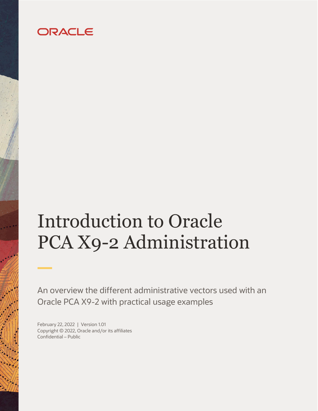# ORACLE

# <span id="page-0-0"></span>Introduction to Oracle PCA X9-2 Administration

An overview the different administrative vectors used with an Oracle PCA X9-2 with practical usage examples

<span id="page-0-3"></span><span id="page-0-2"></span><span id="page-0-1"></span>February 22, 2022 | Version 1.01 Copyright © 2022, Oracle and/or its affiliates Confidential – Public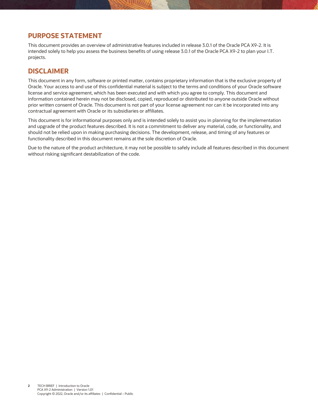#### <span id="page-1-1"></span>**PURPOSE STATEMENT**

<span id="page-1-0"></span>This document provides an overview of administrative features included in release 3.0.1 of the Oracle PCA X9-2. It is intended solely to help you assess the business benefits of using release 3.0.1 [of the Oracle PCA X9-2](#page-1-0) to plan your I.T. projects.

#### <span id="page-1-2"></span>**DISCLAIMER**

This document in any form, software or printed matter, contains proprietary information that is the exclusive property of Oracle. Your access to and use of this confidential material is subject to the terms and conditions of your Oracle software license and service agreement, which has been executed and with which you agree to comply. This document and information contained herein may not be disclosed, copied, reproduced or distributed to anyone outside Oracle without prior written consent of Oracle. This document is not part of your license agreement nor can it be incorporated into any contractual agreement with Oracle or its subsidiaries or affiliates.

This document is for informational purposes only and is intended solely to assist you in planning for the implementation and upgrade of the product features described. It is not a commitment to deliver any material, code, or functionality, and should not be relied upon in making purchasing decisions. The development, release, and timing of any features or functionality described in this document remains at the sole discretion of Oracle.

Due to the nature of the product architecture, it may not be possible to safely include all features described in this document without risking significant destabilization of the code.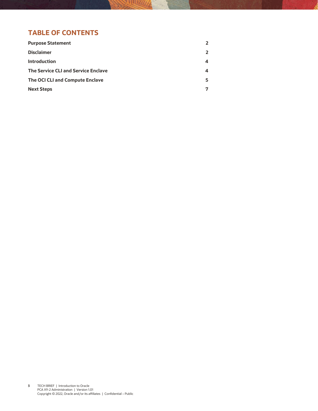# **TABLE OF CONTENTS**

| <b>Purpose Statement</b>                   | 2              |
|--------------------------------------------|----------------|
| <b>Disclaimer</b>                          | $\overline{2}$ |
| <b>Introduction</b>                        | 4              |
| <b>The Service CLI and Service Enclave</b> | 4              |
| The OCI CLI and Compute Enclave            | 5.             |
| <b>Next Steps</b>                          | 7              |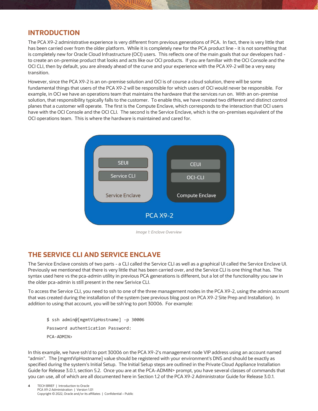#### <span id="page-3-0"></span>**INTRODUCTION**

The PCA X9-2 administrative experience is very different from previous generations of PCA. In fact, there is very little that has been carried over from the older platform. While it is completely new for the PCA product line - it is not something that is completely new for Oracle Cloud Infrastructure (OCI) users. This reflects one of the main goals that our developers had to create an on-premise product that looks and acts like our OCI products. If you are familiar with the OCI Console and the OCI CLI, then by default, you are already ahead of the curve and your experience with the PCA X9-2 will be a very easy transition.

However, since the PCA X9-2 is an on-premise solution and OCI is of course a cloud solution, there will be some fundamental things that users of the PCA X9-2 will be responsible for which users of OCI would never be responsible. For example, in OCI we have an operations team that maintains the hardware that the services run on. With an on-premise solution, that responsibility typically falls to the customer. To enable this, we have created two different and distinct control planes that a customer will operate. The first is the Compute Enclave, which corresponds to the interaction that OCI users have with the OCI Console and the OCI CLI. The second is the Service Enclave, which is the on-premises equivalent of the OCI operations team. This is where the hardware is maintained and cared for.



*Image 1: Enclave Overview*

## <span id="page-3-1"></span>**THE SERVICE CLI AND SERVICE ENCLAVE**

The Service Enclave consists of two parts - a CLI called the Service CLI as well as a graphical UI called the Service Enclave UI. Previously we mentioned that there is very little that has been carried over, and the Service CLI is one thing that has. The syntax used here vs the pca-admin utility in previous PCA generations is different, but a lot of the functionality you saw in the older pca-admin is still present in the new Serivice CLI.

To access the Service CLI, you need to ssh to one of the three management nodes in the PCA X9-2, using the admin account that was created during the installation of the system (see previous blog post on PCA X9-2 Site Prep and Installation). In addition to using that account, you will be ssh'ing to port 30006. For example:

\$ ssh admin@[mgmtVipHostname] -p 30006 Password authentication Password: PCA-ADMIN>

In this example, we have ssh'd to port 30006 on the PCA X9-2's management node VIP address using an account named "admin". The [mgmtVipHostname] value should be registered with your environment's DNS and should be exactly as specified during the system's Initial Setup. The Initial Setup steps are outlined in the Private Cloud Appliance Installation Guide for Release 3.0.1, section 5.2. Once you are at the PCA-ADMIN> prompt, you have several classes of commands that you can use, all of which are all documented here in Section 1.2 of the PCA X9-2 Administrator Guide for Release 3.0.1.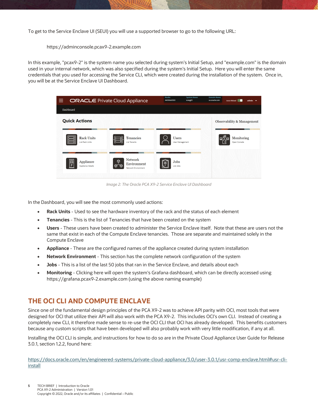To get to the Service Enclave UI (SEUI) you will use a supported browser to go to the following URL:

https://adminconsole.pcax9-2.example.com

In this example, "pcax9-2" is the system name you selected during system's Initial Setup, and "example.com" is the domain used in your internal network, which was also specified during the system's Initial Setup. Here you will enter the same credentials that you used for accessing the Service CLI, which were created during the installation of the system. Once in, you will be at the Service Enclave UI Dashboard.

| <b>ORACLE</b> Private Cloud Appliance<br>≡  |                                                                          | Realm<br><b>System Name</b><br>AK00661530<br>scasg01 | <b>Domain Name</b><br>us.oracle.com<br>Auto Reload<br>admin $\blacktriangledown$ |
|---------------------------------------------|--------------------------------------------------------------------------|------------------------------------------------------|----------------------------------------------------------------------------------|
| Dashboard                                   |                                                                          |                                                      |                                                                                  |
| <b>Quick Actions</b>                        |                                                                          |                                                      | <b>Observability &amp; Management</b>                                            |
| <b>Rack Units</b><br><b>List Rack Units</b> | <b>Tenancies</b><br><b>List Tenants</b>                                  | <b>Users</b><br><b>User Management</b>               | Monitoring<br>Open Console                                                       |
| 冨<br>Appliance<br><b>Appliance Details</b>  | <b>Network</b><br>ِ⊕<br>Environment<br><u>ଜ^ଜ</u><br>Network Environment | <b>Jobs</b><br><b>List Jobs</b>                      |                                                                                  |

*Image 2: The Oracle PCA X9-2 Service Enclave UI Dashboard*

In the Dashboard, you will see the most commonly used actions:

- **Rack Units** Used to see the hardware inventory of the rack and the status of each element
- **Tenancies** This is the list of Tenancies that have been created on the system
- **Users** These users have been created to administer the Service Enclave itself. Note that these are users not the same that exist in each of the Compute Enclave tenancies. Those are separate and maintained solely in the Compute Enclave
- **Appliance** These are the configured names of the appliance created during system installation
- **Network Environment** This section has the complete network configuration of the system
- **Jobs** This is a list of the last 50 jobs that ran in the Service Enclave, and details about each
- **Monitoring** Clicking here will open the system's Grafana dashboard, which can be directly accessed using https://grafana.pcax9-2.example.com (using the above naming example)

### <span id="page-4-0"></span>**THE OCI CLI AND COMPUTE ENCLAVE**

Since one of the fundamental design principles of the PCA X9-2 was to achieve API parity with OCI, most tools that were designed for OCI that utilize their API will also work with the PCA X9-2. This includes OCI's own CLI. Instead of creating a completely new CLI, it therefore made sense to re-use the OCI CLI that OCI has already developed. This benefits customers because any custom scripts that have been developed will also probably work with very little modification, if any at all.

Installing the OCI CLI is simple, and instructions for how to do so are in the Private Cloud Appliance User Guide for Release 3.0.1, section 1.2.2, found here:

[https://docs.oracle.com/en/engineered-systems/private-cloud-appliance/3.0/user-3.0.1/usr-comp-enclave.html#usr-cli](https://docs.oracle.com/en/engineered-systems/private-cloud-appliance/3.0/user-3.0.1/usr-comp-enclave.html#usr-cli-install)[install](https://docs.oracle.com/en/engineered-systems/private-cloud-appliance/3.0/user-3.0.1/usr-comp-enclave.html#usr-cli-install)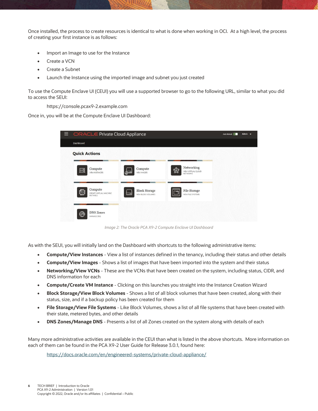Once installed, the process to create resources is identical to what is done when working in OCI. At a high level, the process of creating your first instance is as follows:

- Import an Image to use for the Instance
- Create a VCN
- Create a Subnet
- Launch the Instance using the imported image and subnet you just created

To use the Compute Enclave UI (CEUI) you will use a supported browser to go to the following URL, similar to what you did to access the SEUI:

https://console.pcax9-2.example.com

Once in, you will be at the Compute Enclave UI Dashboard:

| <b>E</b> ORACLE Private Cloud Appliance            | Auto Reload<br>Admin $\sim$                       |                                                          |  |
|----------------------------------------------------|---------------------------------------------------|----------------------------------------------------------|--|
| Dashboard                                          |                                                   |                                                          |  |
| <b>Quick Actions</b>                               |                                                   |                                                          |  |
| Compute<br>噩<br><b>VIEW INSTANCES</b>              | Compute<br>VIEW IMAGES                            | Networking<br>₩<br>VIEW VIRTUAL CLOUD<br><b>NETWORKS</b> |  |
| Compute<br>但<br>CREATE VIRTUAL MACHINE<br>INSTANCE | <b>Block Storage</b><br>- -<br>VIEW BLOCK VOLUMES | File Storage<br><b>VIEW FILE SYSTEMS</b>                 |  |
| <b>DNS Zones</b><br>⊛<br>MANAGE DNS                |                                                   |                                                          |  |

*Image 2: The Oracle PCA X9-2 Compute Enclave UI Dashboard*

As with the SEUI, you will initially land on the Dashboard with shortcuts to the following administrative items:

- **Compute/View Instances** View a list of instances defined in the tenancy, including their status and other details
- **Compute/View Images** Shows a list of images that have been imported into the system and their status
- **Networking/View VCNs** These are the VCNs that have been created on the system, including status, CIDR, and DNS information for each
- **Compute/Create VM Instance** Clicking on this launches you straight into the Instance Creation Wizard
- **Block Storage/View Block Volumes** Shows a list of all block volumes that have been created, along with their status, size, and if a backup policy has been created for them
- **File Storage/View File Systems** Like Block Volumes, shows a list of all file systems that have been created with their state, metered bytes, and other details
- **DNS Zones/Manage DNS** Presents a list of all Zones created on the system along with details of each

Many more administrative activities are available in the CEUI than what is listed in the above shortcuts. More information on each of them can be found in the PCA X9-2 User Guide for Release 3.0.1, found here:

<https://docs.oracle.com/en/engineered-systems/private-cloud-appliance/>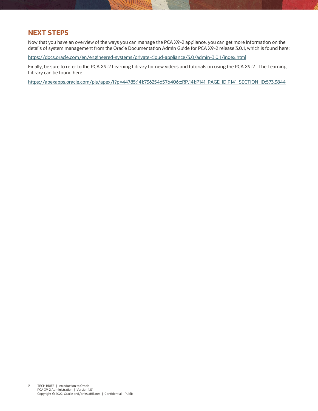#### <span id="page-6-0"></span>**NEXT STEPS**

Now that you have an overview of the ways you can manage the PCA X9-2 appliance, you can get more information on the details of system management from the Oracle Documentation Admin Guide for PCA X9-2 release 3.0.1, which is found here:

<https://docs.oracle.com/en/engineered-systems/private-cloud-appliance/3.0/admin-3.0.1/index.html>

Finally, be sure to refer to the PCA X9-2 Learning Library for new videos and tutorials on using the PCA X9-2. The Learning Library can be found here:

[https://apexapps.oracle.com/pls/apex/f?p=44785:141:7362546576406:::RP,141:P141\\_PAGE\\_ID,P141\\_SECTION\\_ID:573,3844](https://apexapps.oracle.com/pls/apex/f?p=44785:141:7362546576406:::RP,141:P141_PAGE_ID,P141_SECTION_ID:573,3844)